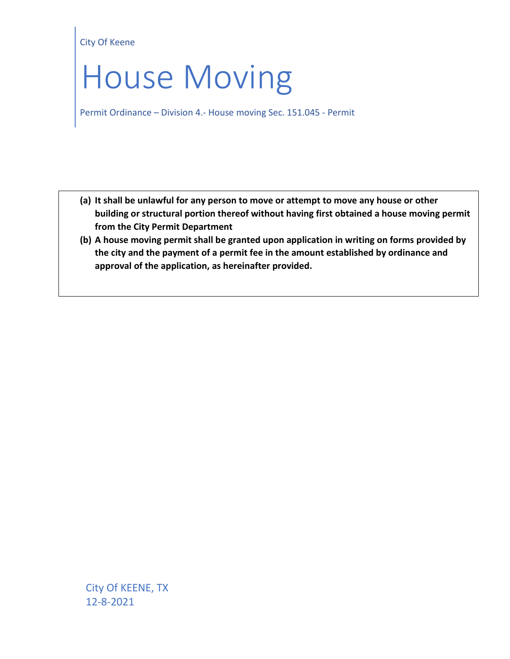City Of Keene

## House Moving

Permit Ordinance – Division 4.- House moving Sec. 151.045 - Permit

- **(a) It shall be unlawful for any person to move or attempt to move any house or other building or structural portion thereof without having first obtained a house moving permit from the City Permit Department**
- **(b) A house moving permit shall be granted upon application in writing on forms provided by the city and the payment of a permit fee in the amount established by ordinance and approval of the application, as hereinafter provided.**